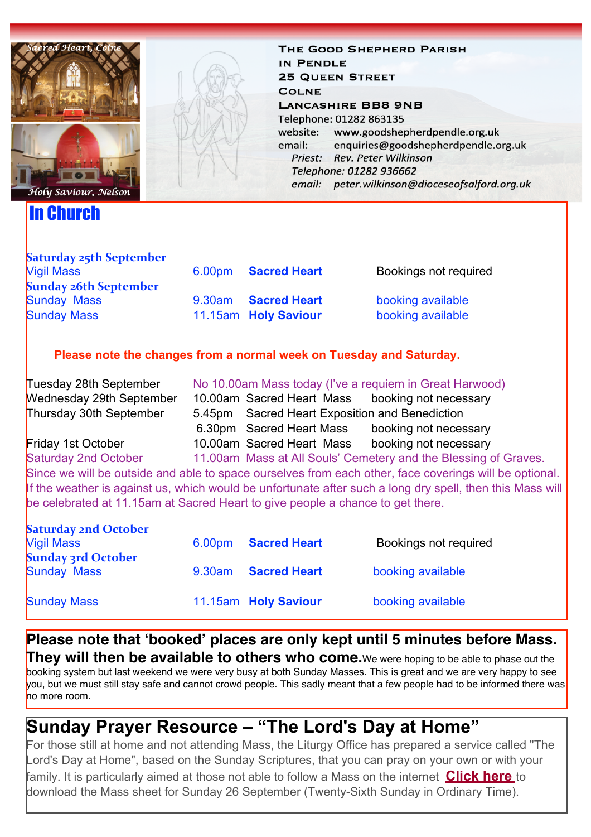

### In Church

THE GOOD SHEPHERD PARISH IN PENDLE **25 QUEEN STREET COLNE LANCASHIRE BB8 9NB** Telephone: 01282 863135 www.goodshepherdpendle.org.uk website: email: enquiries@goodshepherdpendle.org.uk Priest: Rev. Peter Wilkinson Telephone: 01282 936662 email: peter.wilkinson@dioceseofsalford.org.uk

| <b>Vigil Mass</b>            | 6.00pm    | <b>Sacred Heart</b>  | Bookings not required |
|------------------------------|-----------|----------------------|-----------------------|
| <b>Sunday 26th September</b> |           |                      |                       |
| <b>Sunday Mass</b>           | $9.30$ am | <b>Sacred Heart</b>  | booking available     |
| <b>Sunday Mass</b>           |           | 11.15am Holy Saviour | booking available     |

# **Please note the changes from a normal week on Tuesday and Saturday.**

| Tuesday 28th September                                                                                    | No 10.00am Mass today (I've a requiem in Great Harwood)         |                                                 |                       |  |  |  |  |
|-----------------------------------------------------------------------------------------------------------|-----------------------------------------------------------------|-------------------------------------------------|-----------------------|--|--|--|--|
| <b>Wednesday 29th September</b>                                                                           |                                                                 | 10.00am Sacred Heart Mass booking not necessary |                       |  |  |  |  |
| Thursday 30th September                                                                                   |                                                                 | 5.45pm Sacred Heart Exposition and Benediction  |                       |  |  |  |  |
|                                                                                                           |                                                                 | 6.30pm Sacred Heart Mass                        | booking not necessary |  |  |  |  |
| Friday 1st October                                                                                        |                                                                 | 10.00am Sacred Heart Mass                       | booking not necessary |  |  |  |  |
| <b>Saturday 2nd October</b>                                                                               | 11.00am Mass at All Souls' Cemetery and the Blessing of Graves. |                                                 |                       |  |  |  |  |
| Since we will be outside and able to space ourselves from each other, face coverings will be optional.    |                                                                 |                                                 |                       |  |  |  |  |
| If the weather is against us, which would be unfortunate after such a long dry spell, then this Mass will |                                                                 |                                                 |                       |  |  |  |  |
| be celebrated at 11.15am at Sacred Heart to give people a chance to get there.                            |                                                                 |                                                 |                       |  |  |  |  |
|                                                                                                           |                                                                 |                                                 |                       |  |  |  |  |

| <b>Saturday 2nd October</b> |        |                      |                       |
|-----------------------------|--------|----------------------|-----------------------|
| <b>Vigil Mass</b>           |        | 6.00pm Sacred Heart  | Bookings not required |
| <b>Sunday 3rd October</b>   |        |                      |                       |
| <b>Sunday Mass</b>          | 9.30am | <b>Sacred Heart</b>  | booking available     |
|                             |        |                      |                       |
| <b>Sunday Mass</b>          |        | 11.15am Holy Saviour | booking available     |

**Please note that 'booked' places are only kept until 5 minutes before Mass. They will then be available to others who come.**We were hoping to be able to phase out the booking system but last weekend we were very busy at both Sunday Masses. This is great and we are very happy to see you, but we must still stay safe and cannot crowd people. This sadly meant that a few people had to be informed there was no more room.

## **Sunday Prayer Resource – "The Lord's Day at Home"**

For those still at home and not attending Mass, the Liturgy Office has prepared a service called "The Lord's Day at Home", based on the Sunday Scriptures, that you can pray on your own or with your family. It is particularly aimed at those not able to follow a Mass on the internet **[Click here](https://gbr01.safelinks.protection.outlook.com/?url=https%3A%2F%2Fdioceseofsalford.us6.list-manage.com%2Ftrack%2Fclick%3Fu%3D76e219dab8653b775ba8aac4c%26id%3D928c70adbf%26e%3D5ce69633f0&data=04%7C01%7Cpeter.wilkinson%40dioceseofsalford.org.uk%7Cd342b12489c44c6e92c508d97dad03bd%7C699a61ae142a45a090c604b2f08de19b%7C0%7C0%7C637679004309078692%7CUnknown%7CTWFpbGZsb3d8eyJWIjoiMC4wLjAwMDAiLCJQIjoiV2luMzIiLCJBTiI6Ik1haWwiLCJXVCI6Mn0%3D%7C1000&sdata=BQPy5JXrWbHW9oWtiwFQEFyL14O7HpEXFY9tLMlTtRM%3D&reserved=0)** to download the Mass sheet for Sunday 26 September (Twenty-Sixth Sunday in Ordinary Time).